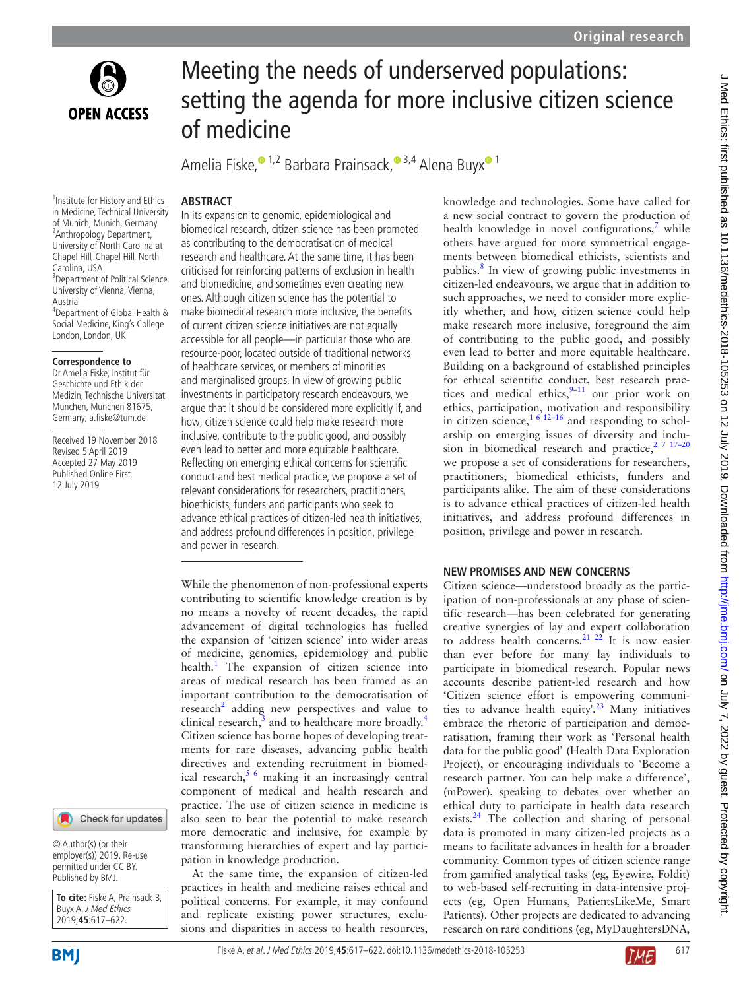

# Meeting the needs of underserved populations: setting the agenda for more inclusive citizen science of medicine

Amelia Fiske,<sup>® 1,2</sup> Barbara Prainsack,<sup>® 3,4</sup> Alena Buyx<sup>® 1</sup>

## **Abstract**

1 Institute for History and Ethics in Medicine, Technical University of Munich, Munich, Germany <sup>2</sup> Anthropology Department, University of North Carolina at Chapel Hill, Chapel Hill, North Carolina, USA <sup>3</sup> Department of Political Science, University of Vienna, Vienna, Austria 4 Department of Global Health & Social Medicine, King's College

London, London, UK

#### **Correspondence to**

Dr Amelia Fiske, Institut für Geschichte und Ethik der Medizin, Technische Universitat Munchen, Munchen 81675, Germany; a.fiske@tum.de

Received 19 November 2018 Revised 5 April 2019 Accepted 27 May 2019 Published Online First 12 July 2019

In its expansion to genomic, epidemiological and biomedical research, citizen science has been promoted as contributing to the democratisation of medical research and healthcare. At the same time, it has been criticised for reinforcing patterns of exclusion in health and biomedicine, and sometimes even creating new ones. Although citizen science has the potential to make biomedical research more inclusive, the benefits of current citizen science initiatives are not equally accessible for all people—in particular those who are resource-poor, located outside of traditional networks of healthcare services, or members of minorities and marginalised groups. In view of growing public investments in participatory research endeavours, we argue that it should be considered more explicitly if, and how, citizen science could help make research more inclusive, contribute to the public good, and possibly even lead to better and more equitable healthcare. Reflecting on emerging ethical concerns for scientific conduct and best medical practice, we propose a set of relevant considerations for researchers, practitioners, bioethicists, funders and participants who seek to advance ethical practices of citizen-led health initiatives, and address profound differences in position, privilege and power in research.

While the phenomenon of non-professional experts contributing to scientific knowledge creation is by no means a novelty of recent decades, the rapid advancement of digital technologies has fuelled the expansion of 'citizen science' into wider areas of medicine, genomics, epidemiology and public health.<sup>[1](#page-4-0)</sup> The expansion of citizen science into areas of medical research has been framed as an important contribution to the democratisation of  $research<sup>2</sup>$  adding new perspectives and value to clinical research,<sup>[3](#page-5-1)</sup> and to healthcare more broadly.<sup>[4](#page-5-2)</sup> Citizen science has borne hopes of developing treatments for rare diseases, advancing public health directives and extending recruitment in biomedical research, $5/6$  making it an increasingly central component of medical and health research and practice. The use of citizen science in medicine is also seen to bear the potential to make research more democratic and inclusive, for example by transforming hierarchies of expert and lay participation in knowledge production.

At the same time, the expansion of citizen-led practices in health and medicine raises ethical and political concerns. For example, it may confound and replicate existing power structures, exclusions and disparities in access to health resources,

knowledge and technologies. Some have called for a new social contract to govern the production of health knowledge in novel configurations, $7$  while others have argued for more symmetrical engagements between biomedical ethicists, scientists and publics.<sup>8</sup> In view of growing public investments in citizen-led endeavours, we argue that in addition to such approaches, we need to consider more explicitly whether, and how, citizen science could help make research more inclusive, foreground the aim of contributing to the public good, and possibly even lead to better and more equitable healthcare. Building on a background of established principles for ethical scientific conduct, best research practices and medical ethics,  $9-11$  our prior work on ethics, participation, motivation and responsibility in citizen science,<sup>1 6 12–16</sup> and responding to scholarship on emerging issues of diversity and inclusion in biomedical research and practice,  $27^{17-20}$ we propose a set of considerations for researchers, practitioners, biomedical ethicists, funders and participants alike. The aim of these considerations is to advance ethical practices of citizen-led health initiatives, and address profound differences in position, privilege and power in research.

## **New promises and new concerns**

Citizen science—understood broadly as the participation of non-professionals at any phase of scientific research—has been celebrated for generating creative synergies of lay and expert collaboration to address health concerns.<sup>[21 22](#page-5-7)</sup> It is now easier than ever before for many lay individuals to participate in biomedical research. Popular news accounts describe patient-led research and how 'Citizen science effort is empowering communi-ties to advance health equity<sup>7.[23](#page-5-8)</sup> Many initiatives embrace the rhetoric of participation and democratisation, framing their work as 'Personal health data for the public good' (Health Data Exploration Project), or encouraging individuals to 'Become a research partner. You can help make a difference', (mPower), speaking to debates over whether an ethical duty to participate in health data research exists.<sup>24</sup> The collection and sharing of personal data is promoted in many citizen-led projects as a means to facilitate advances in health for a broader community. Common types of citizen science range from gamified analytical tasks (eg, Eyewire, Foldit) to web-based self-recruiting in data-intensive projects (eg, Open Humans, PatientsLikeMe, Smart Patients). Other projects are dedicated to advancing research on rare conditions (eg, MyDaughtersDNA,



**To cite:** Fiske A, Prainsack B, Buyx A. J Med Ethics 2019;**45**:617–622.

Check for updates

© Author(s) (or their employer(s)) 2019. Re-use permitted under CC BY. Published by BMJ.

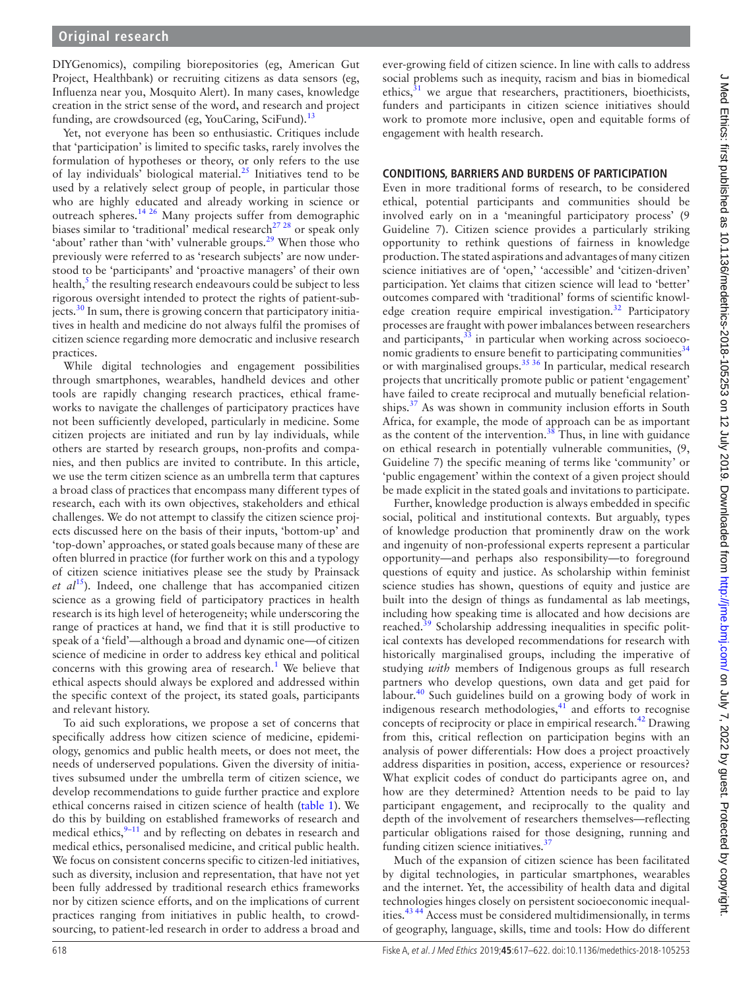DIYGenomics), compiling biorepositories (eg, American Gut Project, Healthbank) or recruiting citizens as data sensors (eg, Influenza near you, Mosquito Alert). In many cases, knowledge creation in the strict sense of the word, and research and project funding, are crowdsourced (eg, YouCaring, SciFund).<sup>13</sup>

Yet, not everyone has been so enthusiastic. Critiques include that 'participation' is limited to specific tasks, rarely involves the formulation of hypotheses or theory, or only refers to the use of lay individuals' biological material. $^{25}$  $^{25}$  $^{25}$  Initiatives tend to be used by a relatively select group of people, in particular those who are highly educated and already working in science or outreach spheres.<sup>[14 26](#page-5-12)</sup> Many projects suffer from demographic biases similar to 'traditional' medical research<sup>27</sup> <sup>28</sup> or speak only 'about' rather than 'with' vulnerable groups. $^{29}$  When those who previously were referred to as 'research subjects' are now understood to be 'participants' and 'proactive managers' of their own health,<sup>5</sup> the resulting research endeavours could be subject to less rigorous oversight intended to protect the rights of patient-subjects. $30$  In sum, there is growing concern that participatory initiatives in health and medicine do not always fulfil the promises of citizen science regarding more democratic and inclusive research practices.

While digital technologies and engagement possibilities through smartphones, wearables, handheld devices and other tools are rapidly changing research practices, ethical frameworks to navigate the challenges of participatory practices have not been sufficiently developed, particularly in medicine. Some citizen projects are initiated and run by lay individuals, while others are started by research groups, non-profits and companies, and then publics are invited to contribute. In this article, we use the term citizen science as an umbrella term that captures a broad class of practices that encompass many different types of research, each with its own objectives, stakeholders and ethical challenges. We do not attempt to classify the citizen science projects discussed here on the basis of their inputs, 'bottom-up' and 'top-down' approaches, or stated goals because many of these are often blurred in practice (for further work on this and a typology of citizen science initiatives please see the study by Prainsack *et al*[15](#page-5-16)). Indeed, one challenge that has accompanied citizen science as a growing field of participatory practices in health research is its high level of heterogeneity; while underscoring the range of practices at hand, we find that it is still productive to speak of a 'field'—although a broad and dynamic one—of citizen science of medicine in order to address key ethical and political concerns with this growing area of research.<sup>[1](#page-4-0)</sup> We believe that ethical aspects should always be explored and addressed within the specific context of the project, its stated goals, participants and relevant history.

To aid such explorations, we propose a set of concerns that specifically address how citizen science of medicine, epidemiology, genomics and public health meets, or does not meet, the needs of underserved populations. Given the diversity of initiatives subsumed under the umbrella term of citizen science, we develop recommendations to guide further practice and explore ethical concerns raised in citizen science of health [\(table](#page-2-0) 1). We do this by building on established frameworks of research and medical ethics, $9-11$  and by reflecting on debates in research and medical ethics, personalised medicine, and critical public health. We focus on consistent concerns specific to citizen-led initiatives, such as diversity, inclusion and representation, that have not yet been fully addressed by traditional research ethics frameworks nor by citizen science efforts, and on the implications of current practices ranging from initiatives in public health, to crowdsourcing, to patient-led research in order to address a broad and

ever-growing field of citizen science. In line with calls to address social problems such as inequity, racism and bias in biomedical ethics, $31$  we argue that researchers, practitioners, bioethicists, funders and participants in citizen science initiatives should work to promote more inclusive, open and equitable forms of engagement with health research.

## **Conditions, barriers and burdens of participat ion**

Even in more traditional forms of research, to be considered ethical, potential participants and communities should be involved early on in a 'meaningful participatory process' (9 Guideline 7). Citizen science provides a particularly striking opportunity to rethink questions of fairness in knowledge production. The stated aspirations and advantages of many citizen science initiatives are of 'open,' 'accessible' and 'citizen-driven' participation. Yet claims that citizen science will lead to 'better' outcomes compared with 'traditional' forms of scientific knowledge creation require empirical investigation.<sup>32</sup> Participatory processes are fraught with power imbalances between researchers and participants, $33$  in particular when working across socioeconomic gradients to ensure benefit to participating communities $34$ or with marginalised groups[.35 36](#page-5-21) In particular, medical research projects that uncritically promote public or patient 'engagement' have failed to create reciprocal and mutually beneficial relation-ships.<sup>[37](#page-5-22)</sup> As was shown in community inclusion efforts in South Africa, for example, the mode of approach can be as important as the content of the intervention.<sup>[38](#page-5-23)</sup> Thus, in line with guidance on ethical research in potentially vulnerable communities, (9, Guideline 7) the specific meaning of terms like 'community' or 'public engagement' within the context of a given project should be made explicit in the stated goals and invitations to participate.

Further, knowledge production is always embedded in specific social, political and institutional contexts. But arguably, types of knowledge production that prominently draw on the work and ingenuity of non-professional experts represent a particular opportunity—and perhaps also responsibility—to foreground questions of equity and justice. As scholarship within feminist science studies has shown, questions of equity and justice are built into the design of things as fundamental as lab meetings, including how speaking time is allocated and how decisions are reached.<sup>39</sup> Scholarship addressing inequalities in specific political contexts has developed recommendations for research with historically marginalised groups, including the imperative of studying *with* members of Indigenous groups as full research partners who develop questions, own data and get paid for labour.<sup>[40](#page-5-25)</sup> Such guidelines build on a growing body of work in indigenous research methodologies, $41$  and efforts to recognise concepts of reciprocity or place in empirical research.<sup>42</sup> Drawing from this, critical reflection on participation begins with an analysis of power differentials: How does a project proactively address disparities in position, access, experience or resources? What explicit codes of conduct do participants agree on, and how are they determined? Attention needs to be paid to lay participant engagement, and reciprocally to the quality and depth of the involvement of researchers themselves—reflecting particular obligations raised for those designing, running and funding citizen science initiatives. $\frac{3}{5}$ 

Much of the expansion of citizen science has been facilitated by digital technologies, in particular smartphones, wearables and the internet. Yet, the accessibility of health data and digital technologies hinges closely on persistent socioeconomic inequalities.[43 44](#page-5-28) Access must be considered multidimensionally, in terms of geography, language, skills, time and tools: How do different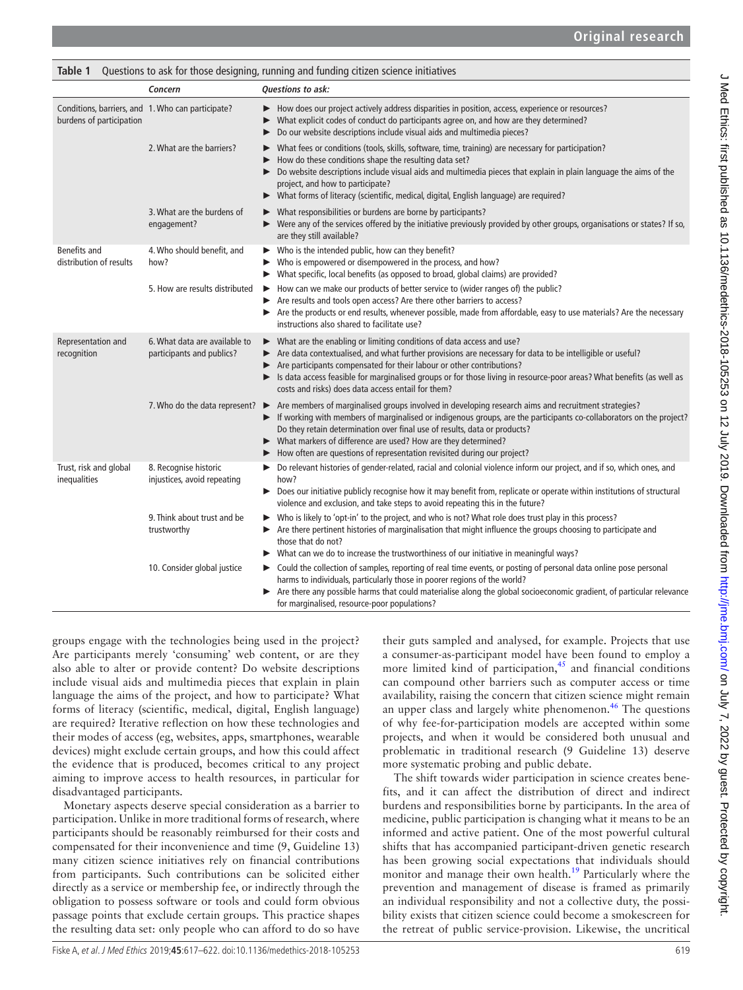#### <span id="page-2-0"></span>**Table 1** Questions to ask for those designing, running and funding citizen science initiatives

|                                                | Concern                                                    | Questions to ask:                                                                                                                                                                                                                                                                                                                                                                                                                                         |
|------------------------------------------------|------------------------------------------------------------|-----------------------------------------------------------------------------------------------------------------------------------------------------------------------------------------------------------------------------------------------------------------------------------------------------------------------------------------------------------------------------------------------------------------------------------------------------------|
| burdens of participation                       | Conditions, barriers, and 1. Who can participate?          | > How does our project actively address disparities in position, access, experience or resources?<br>What explicit codes of conduct do participants agree on, and how are they determined?<br>▶<br>Do our website descriptions include visual aids and multimedia pieces?                                                                                                                                                                                 |
|                                                | 2. What are the barriers?                                  | What fees or conditions (tools, skills, software, time, training) are necessary for participation?<br>▶<br>How do these conditions shape the resulting data set?<br>Do website descriptions include visual aids and multimedia pieces that explain in plain language the aims of the<br>project, and how to participate?<br>> What forms of literacy (scientific, medical, digital, English language) are required?                                       |
|                                                | 3. What are the burdens of<br>engagement?                  | • What responsibilities or burdens are borne by participants?<br>► Were any of the services offered by the initiative previously provided by other groups, organisations or states? If so,<br>are they still available?                                                                                                                                                                                                                                   |
| <b>Benefits and</b><br>distribution of results | 4. Who should benefit, and<br>how?                         | $\triangleright$ Who is the intended public, how can they benefit?<br>Who is empowered or disempowered in the process, and how?<br>▶<br>What specific, local benefits (as opposed to broad, global claims) are provided?                                                                                                                                                                                                                                  |
|                                                | 5. How are results distributed                             | How can we make our products of better service to (wider ranges of) the public?<br>Are results and tools open access? Are there other barriers to access?<br>Are the products or end results, whenever possible, made from affordable, easy to use materials? Are the necessary<br>instructions also shared to facilitate use?                                                                                                                            |
| Representation and<br>recognition              | 6. What data are available to<br>participants and publics? | > What are the enabling or limiting conditions of data access and use?<br>> Are data contextualised, and what further provisions are necessary for data to be intelligible or useful?<br>Are participants compensated for their labour or other contributions?<br>Is data access feasible for marginalised groups or for those living in resource-poor areas? What benefits (as well as<br>▶<br>costs and risks) does data access entail for them?        |
|                                                | 7. Who do the data represent?                              | • Are members of marginalised groups involved in developing research aims and recruitment strategies?<br>• If working with members of marginalised or indigenous groups, are the participants co-collaborators on the project?<br>Do they retain determination over final use of results, data or products?<br>> What markers of difference are used? How are they determined?<br>How often are questions of representation revisited during our project? |
| Trust, risk and global<br>inequalities         | 8. Recognise historic<br>injustices, avoid repeating       | Do relevant histories of gender-related, racial and colonial violence inform our project, and if so, which ones, and<br>▶<br>how?<br>Does our initiative publicly recognise how it may benefit from, replicate or operate within institutions of structural<br>violence and exclusion, and take steps to avoid repeating this in the future?                                                                                                              |
|                                                | 9. Think about trust and be<br>trustworthy                 | > Who is likely to 'opt-in' to the project, and who is not? What role does trust play in this process?<br>Are there pertinent histories of marginalisation that might influence the groups choosing to participate and<br>those that do not?<br>What can we do to increase the trustworthiness of our initiative in meaningful ways?<br>▸                                                                                                                 |
|                                                | 10. Consider global justice                                | • Could the collection of samples, reporting of real time events, or posting of personal data online pose personal<br>harms to individuals, particularly those in poorer regions of the world?<br>Are there any possible harms that could materialise along the global socioeconomic gradient, of particular relevance<br>▶<br>for marginalised, resource-poor populations?                                                                               |

groups engage with the technologies being used in the project? Are participants merely 'consuming' web content, or are they also able to alter or provide content? Do website descriptions include visual aids and multimedia pieces that explain in plain language the aims of the project, and how to participate? What forms of literacy (scientific, medical, digital, English language) are required? Iterative reflection on how these technologies and their modes of access (eg, websites, apps, smartphones, wearable devices) might exclude certain groups, and how this could affect the evidence that is produced, becomes critical to any project aiming to improve access to health resources, in particular for disadvantaged participants.

Monetary aspects deserve special consideration as a barrier to participation. Unlike in more traditional forms of research, where participants should be reasonably reimbursed for their costs and compensated for their inconvenience and time (9, Guideline 13) many citizen science initiatives rely on financial contributions from participants. Such contributions can be solicited either directly as a service or membership fee, or indirectly through the obligation to possess software or tools and could form obvious passage points that exclude certain groups. This practice shapes the resulting data set: only people who can afford to do so have

their guts sampled and analysed, for example. Projects that use a consumer-as-participant model have been found to employ a more limited kind of participation, $45$  and financial conditions can compound other barriers such as computer access or time availability, raising the concern that citizen science might remain an upper class and largely white phenomenon. $46$  The questions of why fee-for-participation models are accepted within some projects, and when it would be considered both unusual and problematic in traditional research (9 Guideline 13) deserve more systematic probing and public debate.

The shift towards wider participation in science creates benefits, and it can affect the distribution of direct and indirect burdens and responsibilities borne by participants. In the area of medicine, public participation is changing what it means to be an informed and active patient. One of the most powerful cultural shifts that has accompanied participant-driven genetic research has been growing social expectations that individuals should monitor and manage their own health.<sup>19</sup> Particularly where the prevention and management of disease is framed as primarily an individual responsibility and not a collective duty, the possibility exists that citizen science could become a smokescreen for the retreat of public service-provision. Likewise, the uncritical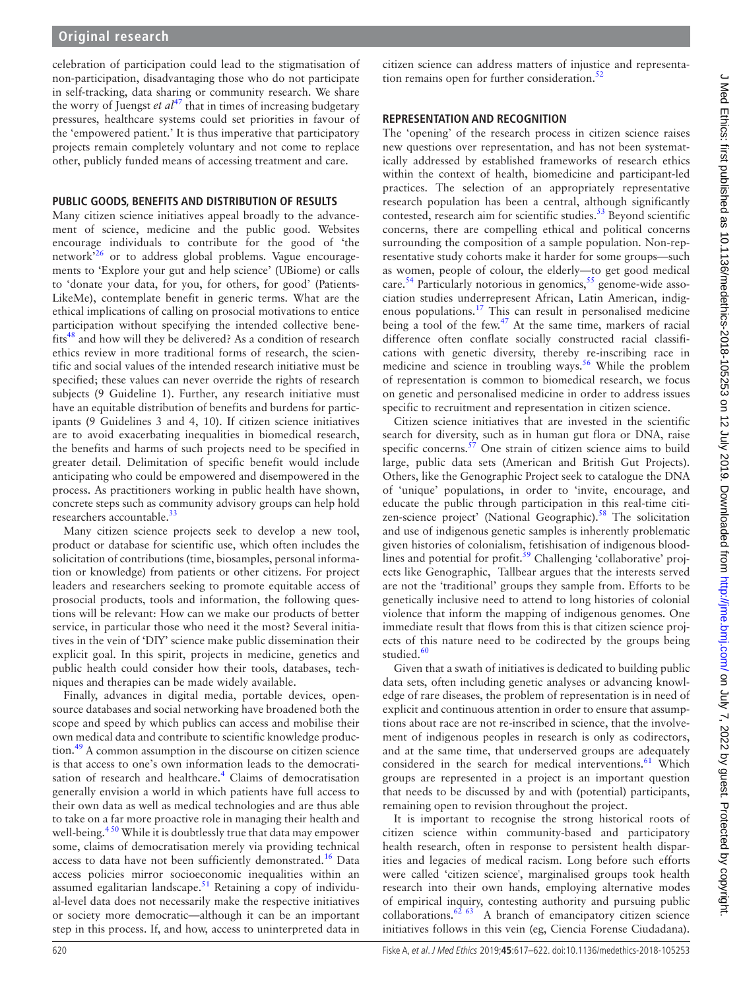## **Original research**

celebration of participation could lead to the stigmatisation of non-participation, disadvantaging those who do not participate in self-tracking, data sharing or community research. We share the worry of Juengst *et al*<sup>[47](#page-5-32)</sup> that in times of increasing budgetary pressures, healthcare systems could set priorities in favour of the 'empowered patient.' It is thus imperative that participatory projects remain completely voluntary and not come to replace other, publicly funded means of accessing treatment and care.

#### **Public goods, benefits and distribution of results**

Many citizen science initiatives appeal broadly to the advancement of science, medicine and the public good. Websites encourage individuals to contribute for the good of 'the network'[26](#page-5-33) or to address global problems. Vague encouragements to 'Explore your gut and help science' (UBiome) or calls to 'donate your data, for you, for others, for good' (Patients-LikeMe), contemplate benefit in generic terms. What are the ethical implications of calling on prosocial motivations to entice participation without specifying the intended collective benefits $48$  and how will they be delivered? As a condition of research ethics review in more traditional forms of research, the scientific and social values of the intended research initiative must be specified; these values can never override the rights of research subjects (9 Guideline 1). Further, any research initiative must have an equitable distribution of benefits and burdens for participants (9 Guidelines 3 and 4, 10). If citizen science initiatives are to avoid exacerbating inequalities in biomedical research, the benefits and harms of such projects need to be specified in greater detail. Delimitation of specific benefit would include anticipating who could be empowered and disempowered in the process. As practitioners working in public health have shown, concrete steps such as community advisory groups can help hold researchers accountable.<sup>[33](#page-5-19)</sup>

Many citizen science projects seek to develop a new tool, product or database for scientific use, which often includes the solicitation of contributions (time, biosamples, personal information or knowledge) from patients or other citizens. For project leaders and researchers seeking to promote equitable access of prosocial products, tools and information, the following questions will be relevant: How can we make our products of better service, in particular those who need it the most? Several initiatives in the vein of 'DIY' science make public dissemination their explicit goal. In this spirit, projects in medicine, genetics and public health could consider how their tools, databases, techniques and therapies can be made widely available.

Finally, advances in digital media, portable devices, opensource databases and social networking have broadened both the scope and speed by which publics can access and mobilise their own medical data and contribute to scientific knowledge production.[49](#page-5-35) A common assumption in the discourse on citizen science is that access to one's own information leads to the democratisation of research and healthcare.<sup>4</sup> Claims of democratisation generally envision a world in which patients have full access to their own data as well as medical technologies and are thus able to take on a far more proactive role in managing their health and well-being.<sup>450</sup> While it is doubtlessly true that data may empower some, claims of democratisation merely via providing technical access to data have not been sufficiently demonstrated.<sup>16</sup> Data access policies mirror socioeconomic inequalities within an assumed egalitarian landscape. $51$  Retaining a copy of individual-level data does not necessarily make the respective initiatives or society more democratic—although it can be an important step in this process. If, and how, access to uninterpreted data in

citizen science can address matters of injustice and representation remains open for further consideration. $52$ 

## **Representation and recognition**

The 'opening' of the research process in citizen science raises new questions over representation, and has not been systematically addressed by established frameworks of research ethics within the context of health, biomedicine and participant-led practices. The selection of an appropriately representative research population has been a central, although significantly contested, research aim for scientific studies.<sup>[53](#page-5-39)</sup> Beyond scientific concerns, there are compelling ethical and political concerns surrounding the composition of a sample population. Non-representative study cohorts make it harder for some groups—such as women, people of colour, the elderly—to get good medical care.<sup>54</sup> Particularly notorious in genomics,<sup>55</sup> genome-wide association studies underrepresent African, Latin American, indigenous populations.[17](#page-5-42) This can result in personalised medicine being a tool of the few. $47$  At the same time, markers of racial difference often conflate socially constructed racial classifications with genetic diversity, thereby re-inscribing race in medicine and science in troubling ways.<sup>56</sup> While the problem of representation is common to biomedical research, we focus on genetic and personalised medicine in order to address issues specific to recruitment and representation in citizen science.

Citizen science initiatives that are invested in the scientific search for diversity, such as in human gut flora or DNA, raise specific concerns.<sup>[57](#page-5-44)</sup> One strain of citizen science aims to build large, public data sets (American and British Gut Projects). Others, like the Genographic Project seek to catalogue the DNA of 'unique' populations, in order to 'invite, encourage, and educate the public through participation in this real-time citizen-science project' (National Geographic). $58$  The solicitation and use of indigenous genetic samples is inherently problematic given histories of colonialism, fetishisation of indigenous bloodlines and potential for profit.<sup>59</sup> Challenging 'collaborative' projects like Genographic, Tallbear argues that the interests served are not the 'traditional' groups they sample from. Efforts to be genetically inclusive need to attend to long histories of colonial violence that inform the mapping of indigenous genomes. One immediate result that flows from this is that citizen science projects of this nature need to be codirected by the groups being studied.<sup>[60](#page-5-47)</sup>

Given that a swath of initiatives is dedicated to building public data sets, often including genetic analyses or advancing knowledge of rare diseases, the problem of representation is in need of explicit and continuous attention in order to ensure that assumptions about race are not re-inscribed in science, that the involvement of indigenous peoples in research is only as codirectors, and at the same time, that underserved groups are adequately considered in the search for medical interventions.<sup>61</sup> Which groups are represented in a project is an important question that needs to be discussed by and with (potential) participants, remaining open to revision throughout the project.

It is important to recognise the strong historical roots of citizen science within community-based and participatory health research, often in response to persistent health disparities and legacies of medical racism. Long before such efforts were called 'citizen science', marginalised groups took health research into their own hands, employing alternative modes of empirical inquiry, contesting authority and pursuing public collaborations.<sup>[62 63](#page-5-49)</sup> A branch of emancipatory citizen science initiatives follows in this vein (eg, Ciencia Forense Ciudadana).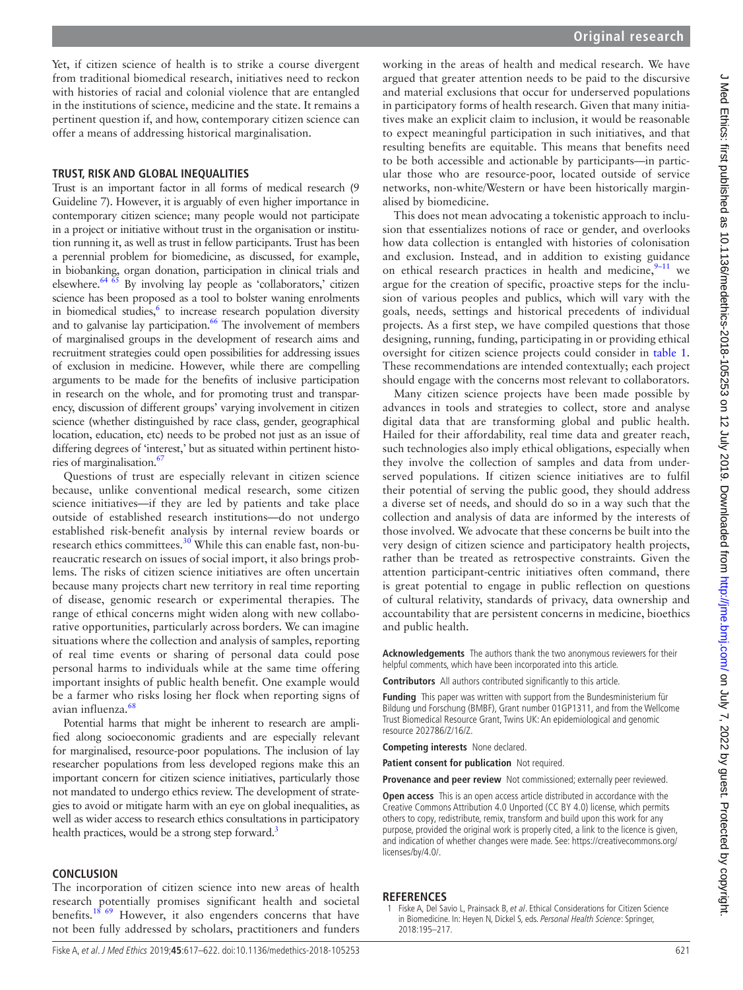Yet, if citizen science of health is to strike a course divergent from traditional biomedical research, initiatives need to reckon with histories of racial and colonial violence that are entangled in the institutions of science, medicine and the state. It remains a pertinent question if, and how, contemporary citizen science can offer a means of addressing historical marginalisation.

# **Trust, risk and global inequalities**

Trust is an important factor in all forms of medical research (9 Guideline 7). However, it is arguably of even higher importance in contemporary citizen science; many people would not participate in a project or initiative without trust in the organisation or institution running it, as well as trust in fellow participants. Trust has been a perennial problem for biomedicine, as discussed, for example, in biobanking, organ donation, participation in clinical trials and elsewhere. $64\,65\,$  By involving lay people as 'collaborators,' citizen science has been proposed as a tool to bolster waning enrolments in biomedical studies,<sup>6</sup> to increase research population diversity and to galvanise lay participation.<sup>66</sup> The involvement of members of marginalised groups in the development of research aims and recruitment strategies could open possibilities for addressing issues of exclusion in medicine. However, while there are compelling arguments to be made for the benefits of inclusive participation in research on the whole, and for promoting trust and transparency, discussion of different groups' varying involvement in citizen science (whether distinguished by race class, gender, geographical location, education, etc) needs to be probed not just as an issue of differing degrees of 'interest,' but as situated within pertinent histories of marginalisation.<sup>67</sup>

Questions of trust are especially relevant in citizen science because, unlike conventional medical research, some citizen science initiatives—if they are led by patients and take place outside of established research institutions—do not undergo established risk-benefit analysis by internal review boards or research ethics committees.<sup>[30](#page-5-15)</sup> While this can enable fast, non-bureaucratic research on issues of social import, it also brings problems. The risks of citizen science initiatives are often uncertain because many projects chart new territory in real time reporting of disease, genomic research or experimental therapies. The range of ethical concerns might widen along with new collaborative opportunities, particularly across borders. We can imagine situations where the collection and analysis of samples, reporting of real time events or sharing of personal data could pose personal harms to individuals while at the same time offering important insights of public health benefit. One example would be a farmer who risks losing her flock when reporting signs of avian influenza.[68](#page-5-54)

Potential harms that might be inherent to research are amplified along socioeconomic gradients and are especially relevant for marginalised, resource-poor populations. The inclusion of lay researcher populations from less developed regions make this an important concern for citizen science initiatives, particularly those not mandated to undergo ethics review. The development of strategies to avoid or mitigate harm with an eye on global inequalities, as well as wider access to research ethics consultations in participatory health practices, would be a strong step forward.<sup>3</sup>

# **Conclusion**

The incorporation of citizen science into new areas of health research potentially promises significant health and societal benefits.<sup>18 69</sup> However, it also engenders concerns that have not been fully addressed by scholars, practitioners and funders working in the areas of health and medical research. We have argued that greater attention needs to be paid to the discursive and material exclusions that occur for underserved populations in participatory forms of health research. Given that many initiatives make an explicit claim to inclusion, it would be reasonable to expect meaningful participation in such initiatives, and that resulting benefits are equitable. This means that benefits need to be both accessible and actionable by participants—in particular those who are resource-poor, located outside of service networks, non-white/Western or have been historically marginalised by biomedicine.

This does not mean advocating a tokenistic approach to inclusion that essentializes notions of race or gender, and overlooks how data collection is entangled with histories of colonisation and exclusion. Instead, and in addition to existing guidance on ethical research practices in health and medicine, $9-11$  we argue for the creation of specific, proactive steps for the inclusion of various peoples and publics, which will vary with the goals, needs, settings and historical precedents of individual projects. As a first step, we have compiled questions that those designing, running, funding, participating in or providing ethical oversight for citizen science projects could consider in [table](#page-2-0) 1. These recommendations are intended contextually; each project should engage with the concerns most relevant to collaborators.

Many citizen science projects have been made possible by advances in tools and strategies to collect, store and analyse digital data that are transforming global and public health. Hailed for their affordability, real time data and greater reach, such technologies also imply ethical obligations, especially when they involve the collection of samples and data from underserved populations. If citizen science initiatives are to fulfil their potential of serving the public good, they should address a diverse set of needs, and should do so in a way such that the collection and analysis of data are informed by the interests of those involved. We advocate that these concerns be built into the very design of citizen science and participatory health projects, rather than be treated as retrospective constraints. Given the attention participant-centric initiatives often command, there is great potential to engage in public reflection on questions of cultural relativity, standards of privacy, data ownership and accountability that are persistent concerns in medicine, bioethics and public health.

**Acknowledgements** The authors thank the two anonymous reviewers for their helpful comments, which have been incorporated into this article.

**Contributors** All authors contributed significantly to this article.

**Funding** This paper was written with support from the Bundesministerium für Bildung und Forschung (BMBF), Grant number 01GP1311, and from the Wellcome Trust Biomedical Resource Grant, Twins UK: An epidemiological and genomic resource 202786/Z/16/Z.

**Competing interests** None declared.

**Patient consent for publication** Not required.

**Provenance and peer review** Not commissioned; externally peer reviewed.

**Open access** This is an open access article distributed in accordance with the Creative Commons Attribution 4.0 Unported (CC BY 4.0) license, which permits others to copy, redistribute, remix, transform and build upon this work for any purpose, provided the original work is properly cited, a link to the licence is given, and indication of whether changes were made. See: [https://creativecommons.org/](https://creativecommons.org/licenses/by/4.0/) [licenses/by/4.0/.](https://creativecommons.org/licenses/by/4.0/)

## **References**

<span id="page-4-0"></span>Fiske A, Del Savio L, Prainsack B, et al. Ethical Considerations for Citizen Science in Biomedicine. In: Heyen N, Dickel S, eds. Personal Health Science: Springer, 2018:195–217.